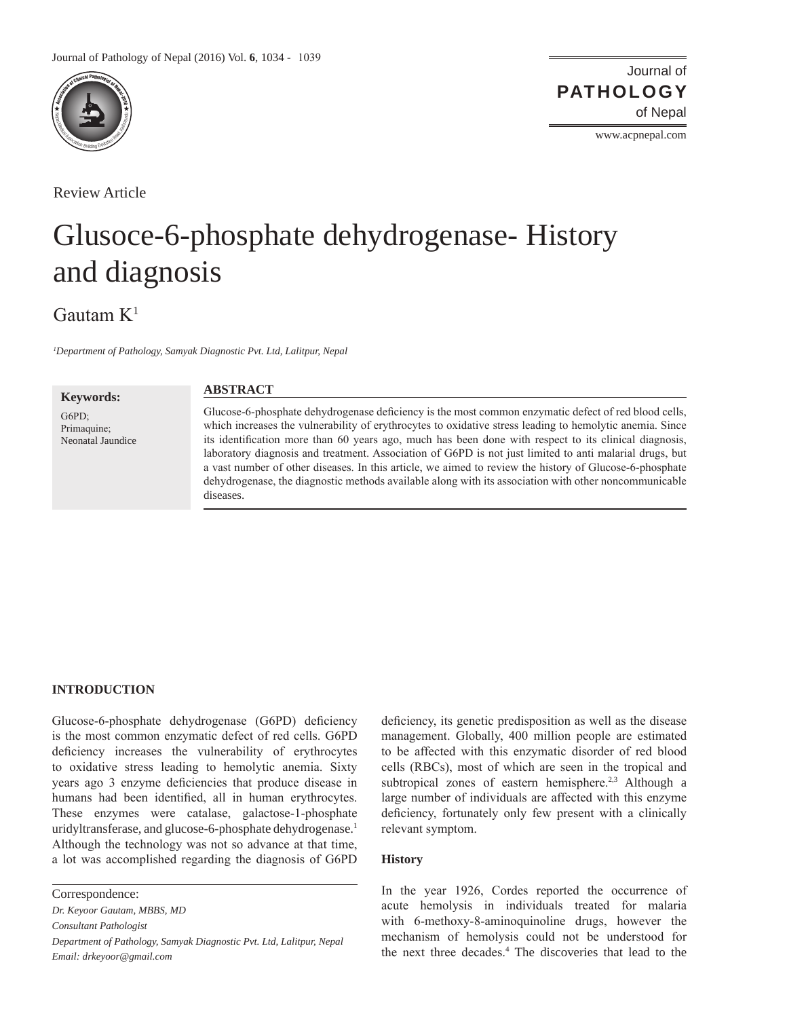

Review Article

# Journal of of Nepal **PATHOLOGY**

www.acpnepal.com

# Glusoce-6-phosphate dehydrogenase- History and diagnosis

# Gautam  $K^1$

*1 Department of Pathology, Samyak Diagnostic Pvt. Ltd, Lalitpur, Nepal*

**Keywords:** G6PD; Primaquine; Neonatal Jaundice

# **ABSTRACT**

Glucose-6-phosphate dehydrogenase deficiency is the most common enzymatic defect of red blood cells, which increases the vulnerability of erythrocytes to oxidative stress leading to hemolytic anemia. Since its identification more than 60 years ago, much has been done with respect to its clinical diagnosis, laboratory diagnosis and treatment. Association of G6PD is not just limited to anti malarial drugs, but a vast number of other diseases. In this article, we aimed to review the history of Glucose-6-phosphate dehydrogenase, the diagnostic methods available along with its association with other noncommunicable diseases.

# **INTRODUCTION**

Glucose-6-phosphate dehydrogenase (G6PD) deficiency is the most common enzymatic defect of red cells. G6PD deficiency increases the vulnerability of erythrocytes to oxidative stress leading to hemolytic anemia. Sixty years ago 3 enzyme deficiencies that produce disease in humans had been identified, all in human erythrocytes. These enzymes were catalase, galactose-1-phosphate uridyltransferase, and glucose-6-phosphate dehydrogenase.<sup>1</sup> Although the technology was not so advance at that time, a lot was accomplished regarding the diagnosis of G6PD

Correspondence:

*Dr. Keyoor Gautam, MBBS, MD Consultant Pathologist*

*Department of Pathology, Samyak Diagnostic Pvt. Ltd, Lalitpur, Nepal Email: drkeyoor@gmail.com*

deficiency, its genetic predisposition as well as the disease management. Globally, 400 million people are estimated to be affected with this enzymatic disorder of red blood cells (RBCs), most of which are seen in the tropical and subtropical zones of eastern hemisphere.<sup>2,3</sup> Although a large number of individuals are affected with this enzyme deficiency, fortunately only few present with a clinically relevant symptom.

# **History**

In the year 1926, Cordes reported the occurrence of acute hemolysis in individuals treated for malaria with 6-methoxy-8-aminoquinoline drugs, however the mechanism of hemolysis could not be understood for the next three decades.<sup>4</sup> The discoveries that lead to the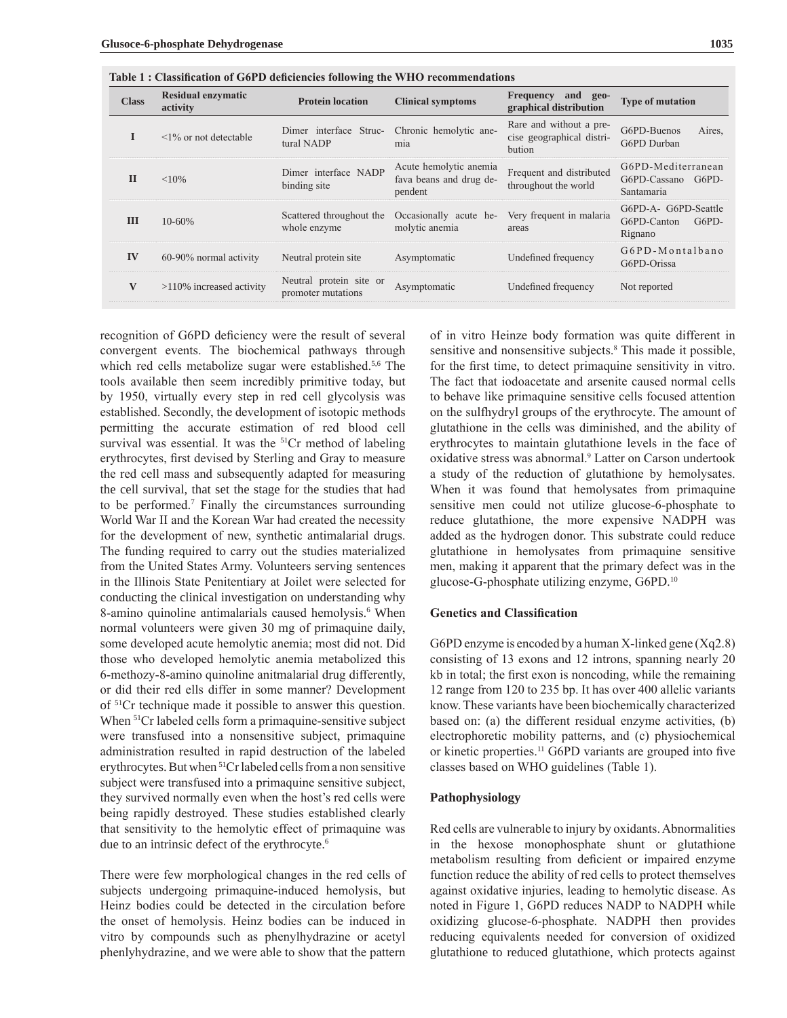| <b>Class</b> | <b>Residual enzymatic</b><br>activity | <b>Protein location</b>                       | <b>Clinical symptoms</b>                                     | Frequency and geo-<br>graphical distribution                   | <b>Type of mutation</b>                                 |
|--------------|---------------------------------------|-----------------------------------------------|--------------------------------------------------------------|----------------------------------------------------------------|---------------------------------------------------------|
| I            | $\leq$ 1% or not detectable           | Dimer interface Struc-<br>tural NADP          | Chronic hemolytic ane-<br>mia                                | Rare and without a pre-<br>cise geographical distri-<br>bution | G6PD-Buenos<br>Aires.<br>G6PD Durban                    |
| $\mathbf{H}$ | $<$ 10%                               | Dimer interface NADP<br>binding site          | Acute hemolytic anemia<br>fava beans and drug de-<br>pendent | Frequent and distributed<br>throughout the world               | G6PD-Mediterranean<br>G6PD-Cassano G6PD-<br>Santamaria  |
| III          | $10 - 60%$                            | Scattered throughout the<br>whole enzyme      | Occasionally acute he-<br>molytic anemia                     | Very frequent in malaria<br>areas                              | G6PD-A- G6PD-Seattle<br>G6PD-Canton<br>G6PD-<br>Rignano |
| IV           | 60-90% normal activity                | Neutral protein site                          | Asymptomatic                                                 | Undefined frequency                                            | G6PD-Montalbano<br>G6PD-Orissa                          |
| V            | $>110\%$ increased activity           | Neutral protein site or<br>promoter mutations | Asymptomatic                                                 | Undefined frequency                                            | Not reported                                            |
|              |                                       |                                               |                                                              |                                                                |                                                         |

**Table 1 : Classification of G6PD deficiencies following the WHO recommendations** 

recognition of G6PD deficiency were the result of several convergent events. The biochemical pathways through which red cells metabolize sugar were established.<sup>5,6</sup> The tools available then seem incredibly primitive today, but by 1950, virtually every step in red cell glycolysis was established. Secondly, the development of isotopic methods permitting the accurate estimation of red blood cell survival was essential. It was the <sup>51</sup>Cr method of labeling erythrocytes, first devised by Sterling and Gray to measure the red cell mass and subsequently adapted for measuring the cell survival, that set the stage for the studies that had to be performed.<sup>7</sup> Finally the circumstances surrounding World War II and the Korean War had created the necessity for the development of new, synthetic antimalarial drugs. The funding required to carry out the studies materialized from the United States Army. Volunteers serving sentences in the Illinois State Penitentiary at Joilet were selected for conducting the clinical investigation on understanding why 8-amino quinoline antimalarials caused hemolysis.<sup>6</sup> When normal volunteers were given 30 mg of primaquine daily, some developed acute hemolytic anemia; most did not. Did those who developed hemolytic anemia metabolized this 6-methozy-8-amino quinoline anitmalarial drug differently, or did their red ells differ in some manner? Development of 51Cr technique made it possible to answer this question. When 51Cr labeled cells form a primaquine-sensitive subject were transfused into a nonsensitive subject, primaquine administration resulted in rapid destruction of the labeled erythrocytes. But when 51Cr labeled cells from a non sensitive subject were transfused into a primaquine sensitive subject, they survived normally even when the host's red cells were being rapidly destroyed. These studies established clearly that sensitivity to the hemolytic effect of primaquine was due to an intrinsic defect of the erythrocyte.<sup>6</sup>

There were few morphological changes in the red cells of subjects undergoing primaquine-induced hemolysis, but Heinz bodies could be detected in the circulation before the onset of hemolysis. Heinz bodies can be induced in vitro by compounds such as phenylhydrazine or acetyl phenlyhydrazine, and we were able to show that the pattern

of in vitro Heinze body formation was quite different in sensitive and nonsensitive subjects.<sup>8</sup> This made it possible, for the first time, to detect primaquine sensitivity in vitro. The fact that iodoacetate and arsenite caused normal cells to behave like primaquine sensitive cells focused attention on the sulfhydryl groups of the erythrocyte. The amount of glutathione in the cells was diminished, and the ability of erythrocytes to maintain glutathione levels in the face of oxidative stress was abnormal.<sup>9</sup> Latter on Carson undertook a study of the reduction of glutathione by hemolysates. When it was found that hemolysates from primaquine sensitive men could not utilize glucose-6-phosphate to reduce glutathione, the more expensive NADPH was added as the hydrogen donor. This substrate could reduce glutathione in hemolysates from primaquine sensitive men, making it apparent that the primary defect was in the glucose-G-phosphate utilizing enzyme, G6PD.<sup>10</sup>

#### **Genetics and Classification**

G6PD enzyme is encoded by a human X-linked gene (Xq2.8) consisting of 13 exons and 12 introns, spanning nearly 20 kb in total; the first exon is noncoding, while the remaining 12 range from 120 to 235 bp. It has over 400 allelic variants know. These variants have been biochemically characterized based on: (a) the different residual enzyme activities, (b) electrophoretic mobility patterns, and (c) physiochemical or kinetic properties.<sup>11</sup> G6PD variants are grouped into five classes based on WHO guidelines (Table 1).

#### **Pathophysiology**

Red cells are vulnerable to injury by oxidants. Abnormalities in the hexose monophosphate shunt or glutathione metabolism resulting from deficient or impaired enzyme function reduce the ability of red cells to protect themselves against oxidative injuries, leading to hemolytic disease. As noted in Figure 1, G6PD reduces NADP to NADPH while oxidizing glucose-6-phosphate. NADPH then provides reducing equivalents needed for conversion of oxidized glutathione to reduced glutathione, which protects against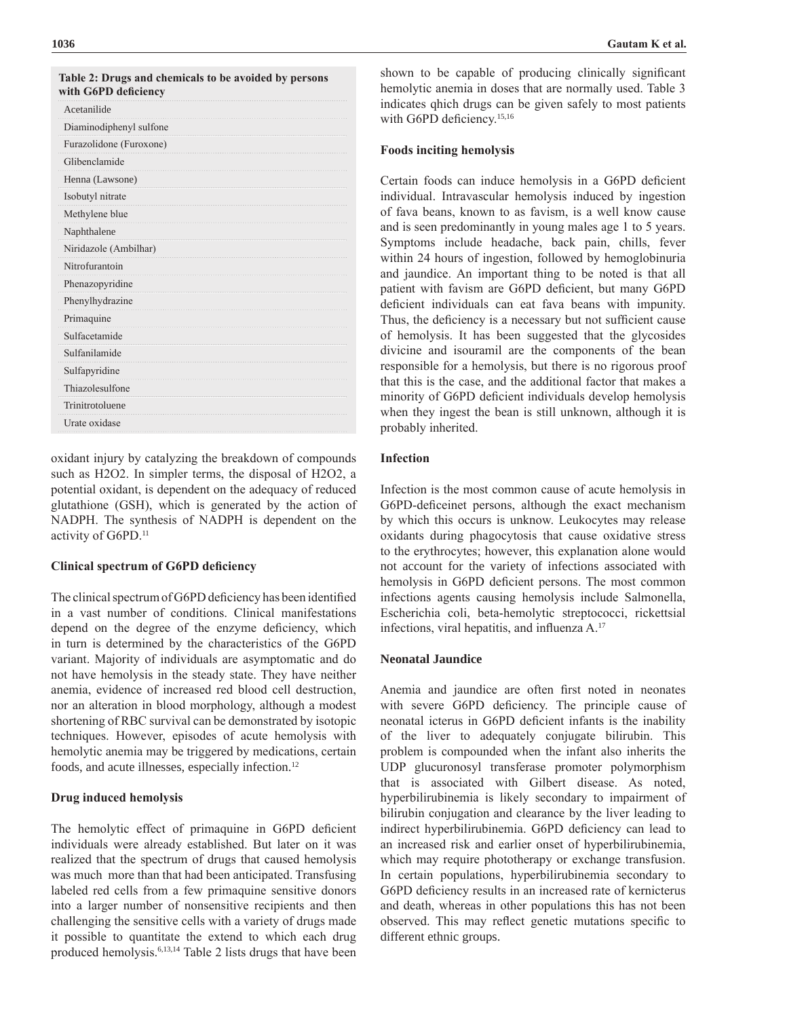| with G6PD deficiency    |  |
|-------------------------|--|
| Acetanilide             |  |
| Diaminodiphenyl sulfone |  |
| Furazolidone (Furoxone) |  |
| Glibenclamide           |  |
| Henna (Lawsone)         |  |
| Isobutyl nitrate        |  |
| Methylene blue          |  |
| Naphthalene             |  |
| Niridazole (Ambilhar)   |  |
| Nitrofurantoin          |  |
| Phenazopyridine         |  |
| Phenylhydrazine         |  |
| Primaquine              |  |
| Sulfacetamide           |  |
| Sulfanilamide           |  |
| Sulfapyridine           |  |
| Thiazolesulfone         |  |
| Trinitrotoluene         |  |
| Urate oxidase           |  |
|                         |  |

**Table 2: Drugs and chemicals to be avoided by persons** 

oxidant injury by catalyzing the breakdown of compounds such as H2O2. In simpler terms, the disposal of H2O2, a potential oxidant, is dependent on the adequacy of reduced glutathione (GSH), which is generated by the action of NADPH. The synthesis of NADPH is dependent on the activity of G6PD.<sup>11</sup>

### **Clinical spectrum of G6PD deficiency**

The clinical spectrum of G6PD deficiency has been identified in a vast number of conditions. Clinical manifestations depend on the degree of the enzyme deficiency, which in turn is determined by the characteristics of the G6PD variant. Majority of individuals are asymptomatic and do not have hemolysis in the steady state. They have neither anemia, evidence of increased red blood cell destruction, nor an alteration in blood morphology, although a modest shortening of RBC survival can be demonstrated by isotopic techniques. However, episodes of acute hemolysis with hemolytic anemia may be triggered by medications, certain foods, and acute illnesses, especially infection.12

# **Drug induced hemolysis**

The hemolytic effect of primaquine in G6PD deficient individuals were already established. But later on it was realized that the spectrum of drugs that caused hemolysis was much more than that had been anticipated. Transfusing labeled red cells from a few primaquine sensitive donors into a larger number of nonsensitive recipients and then challenging the sensitive cells with a variety of drugs made it possible to quantitate the extend to which each drug produced hemolysis.6,13,14 Table 2 lists drugs that have been

shown to be capable of producing clinically significant hemolytic anemia in doses that are normally used. Table 3 indicates qhich drugs can be given safely to most patients with G6PD deficiency.<sup>15,16</sup>

#### **Foods inciting hemolysis**

Certain foods can induce hemolysis in a G6PD deficient individual. Intravascular hemolysis induced by ingestion of fava beans, known to as favism, is a well know cause and is seen predominantly in young males age 1 to 5 years. Symptoms include headache, back pain, chills, fever within 24 hours of ingestion, followed by hemoglobinuria and jaundice. An important thing to be noted is that all patient with favism are G6PD deficient, but many G6PD deficient individuals can eat fava beans with impunity. Thus, the deficiency is a necessary but not sufficient cause of hemolysis. It has been suggested that the glycosides divicine and isouramil are the components of the bean responsible for a hemolysis, but there is no rigorous proof that this is the case, and the additional factor that makes a minority of G6PD deficient individuals develop hemolysis when they ingest the bean is still unknown, although it is probably inherited.

# **Infection**

Infection is the most common cause of acute hemolysis in G6PD-deficeinet persons, although the exact mechanism by which this occurs is unknow. Leukocytes may release oxidants during phagocytosis that cause oxidative stress to the erythrocytes; however, this explanation alone would not account for the variety of infections associated with hemolysis in G6PD deficient persons. The most common infections agents causing hemolysis include Salmonella, Escherichia coli, beta-hemolytic streptococci, rickettsial infections, viral hepatitis, and influenza A.<sup>17</sup>

# **Neonatal Jaundice**

Anemia and jaundice are often first noted in neonates with severe G6PD deficiency. The principle cause of neonatal icterus in G6PD deficient infants is the inability of the liver to adequately conjugate bilirubin. This problem is compounded when the infant also inherits the UDP glucuronosyl transferase promoter polymorphism that is associated with Gilbert disease. As noted, hyperbilirubinemia is likely secondary to impairment of bilirubin conjugation and clearance by the liver leading to indirect hyperbilirubinemia. G6PD deficiency can lead to an increased risk and earlier onset of hyperbilirubinemia, which may require phototherapy or exchange transfusion. In certain populations, hyperbilirubinemia secondary to G6PD deficiency results in an increased rate of kernicterus and death, whereas in other populations this has not been observed. This may reflect genetic mutations specific to different ethnic groups.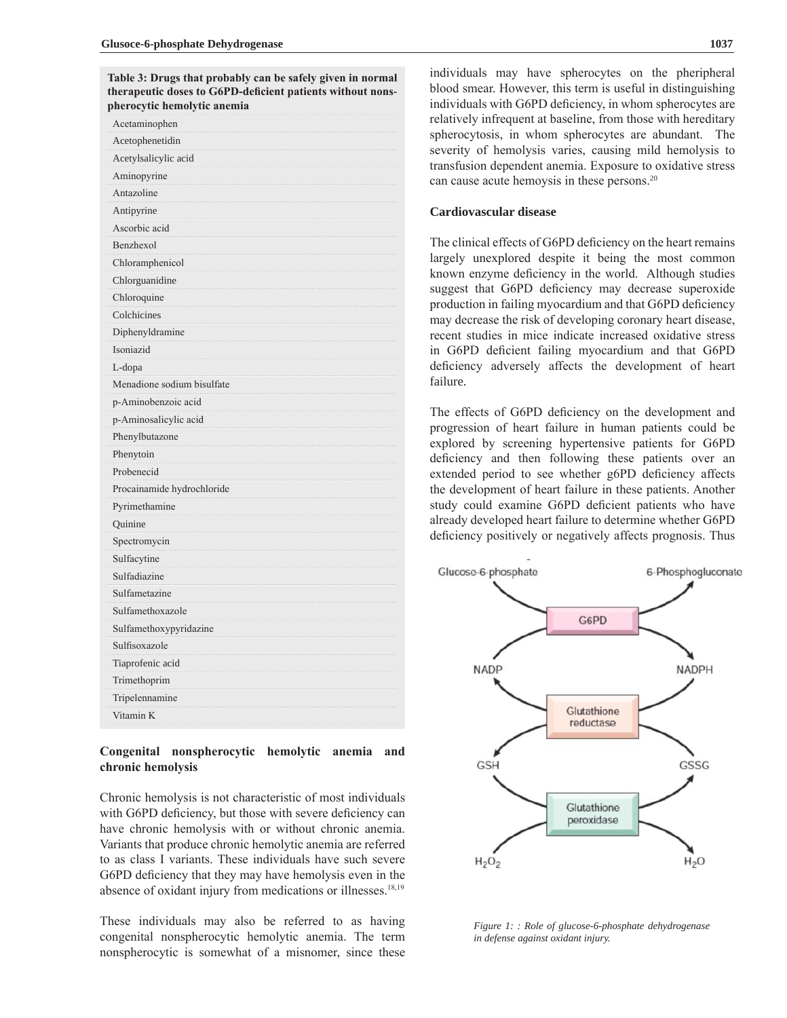**Table 3: Drugs that probably can be safely given in normal therapeutic doses to G6PD-deficient patients without nonspherocytic hemolytic anemia**

| Acetaminophen              |  |  |
|----------------------------|--|--|
| Acetophenetidin            |  |  |
| Acetylsalicylic acid       |  |  |
| Aminopyrine                |  |  |
| Antazoline                 |  |  |
| Antipyrine                 |  |  |
| Ascorbic acid              |  |  |
| Benzhexol                  |  |  |
| Chloramphenicol            |  |  |
| Chlorguanidine             |  |  |
| Chloroquine                |  |  |
| Colchicines                |  |  |
| Diphenyldramine            |  |  |
| Isoniazid                  |  |  |
| L-dopa                     |  |  |
| Menadione sodium bisulfate |  |  |
| p-Aminobenzoic acid        |  |  |
| p-Aminosalicylic acid      |  |  |
| Phenylbutazone             |  |  |
| Phenytoin                  |  |  |
| Probenecid                 |  |  |
| Procainamide hydrochloride |  |  |
| Pyrimethamine              |  |  |
| Quinine                    |  |  |
| Spectromycin               |  |  |
| Sulfacytine                |  |  |
| Sulfadiazine               |  |  |
| Sulfametazine              |  |  |
| Sulfamethoxazole           |  |  |
| Sulfamethoxypyridazine     |  |  |
| Sulfisoxazole              |  |  |
| Tiaprofenic acid           |  |  |
| Trimethoprim               |  |  |
| Tripelennamine             |  |  |
| Vitamin K                  |  |  |
|                            |  |  |

## **Congenital nonspherocytic hemolytic anemia and chronic hemolysis**

Chronic hemolysis is not characteristic of most individuals with G6PD deficiency, but those with severe deficiency can have chronic hemolysis with or without chronic anemia. Variants that produce chronic hemolytic anemia are referred to as class I variants. These individuals have such severe G6PD deficiency that they may have hemolysis even in the absence of oxidant injury from medications or illnesses.<sup>18,19</sup>

These individuals may also be referred to as having congenital nonspherocytic hemolytic anemia. The term nonspherocytic is somewhat of a misnomer, since these

individuals may have spherocytes on the pheripheral blood smear. However, this term is useful in distinguishing individuals with G6PD deficiency, in whom spherocytes are relatively infrequent at baseline, from those with hereditary spherocytosis, in whom spherocytes are abundant. The severity of hemolysis varies, causing mild hemolysis to transfusion dependent anemia. Exposure to oxidative stress can cause acute hemoysis in these persons.<sup>20</sup>

# **Cardiovascular disease**

The clinical effects of G6PD deficiency on the heart remains largely unexplored despite it being the most common known enzyme deficiency in the world. Although studies suggest that G6PD deficiency may decrease superoxide production in failing myocardium and that G6PD deficiency may decrease the risk of developing coronary heart disease, recent studies in mice indicate increased oxidative stress in G6PD deficient failing myocardium and that G6PD deficiency adversely affects the development of heart failure.

The effects of G6PD deficiency on the development and progression of heart failure in human patients could be explored by screening hypertensive patients for G6PD deficiency and then following these patients over an extended period to see whether g6PD deficiency affects the development of heart failure in these patients. Another study could examine G6PD deficient patients who have already developed heart failure to determine whether G6PD deficiency positively or negatively affects prognosis. Thus



*Figure 1: : Role of glucose-6-phosphate dehydrogenase in defense against oxidant injury.*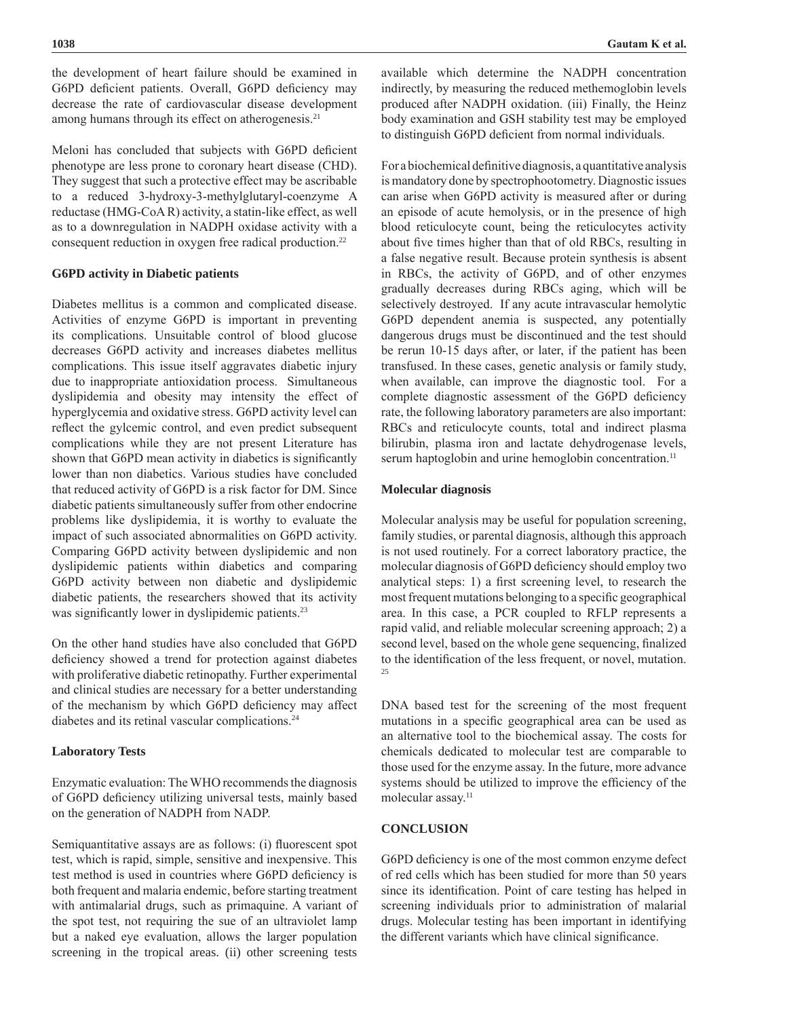the development of heart failure should be examined in G6PD deficient patients. Overall, G6PD deficiency may decrease the rate of cardiovascular disease development among humans through its effect on atherogenesis.<sup>21</sup>

Meloni has concluded that subjects with G6PD deficient phenotype are less prone to coronary heart disease (CHD). They suggest that such a protective effect may be ascribable to a reduced 3-hydroxy-3-methylglutaryl-coenzyme A reductase (HMG-CoA R) activity, a statin-like effect, as well as to a downregulation in NADPH oxidase activity with a consequent reduction in oxygen free radical production.<sup>22</sup>

#### **G6PD activity in Diabetic patients**

Diabetes mellitus is a common and complicated disease. Activities of enzyme G6PD is important in preventing its complications. Unsuitable control of blood glucose decreases G6PD activity and increases diabetes mellitus complications. This issue itself aggravates diabetic injury due to inappropriate antioxidation process. Simultaneous dyslipidemia and obesity may intensity the effect of hyperglycemia and oxidative stress. G6PD activity level can reflect the gylcemic control, and even predict subsequent complications while they are not present Literature has shown that G6PD mean activity in diabetics is significantly lower than non diabetics. Various studies have concluded that reduced activity of G6PD is a risk factor for DM. Since diabetic patients simultaneously suffer from other endocrine problems like dyslipidemia, it is worthy to evaluate the impact of such associated abnormalities on G6PD activity. Comparing G6PD activity between dyslipidemic and non dyslipidemic patients within diabetics and comparing G6PD activity between non diabetic and dyslipidemic diabetic patients, the researchers showed that its activity was significantly lower in dyslipidemic patients.<sup>23</sup>

On the other hand studies have also concluded that G6PD deficiency showed a trend for protection against diabetes with proliferative diabetic retinopathy. Further experimental and clinical studies are necessary for a better understanding of the mechanism by which G6PD deficiency may affect diabetes and its retinal vascular complications.<sup>24</sup>

#### **Laboratory Tests**

Enzymatic evaluation: The WHO recommends the diagnosis of G6PD deficiency utilizing universal tests, mainly based on the generation of NADPH from NADP.

Semiquantitative assays are as follows: (i) fluorescent spot test, which is rapid, simple, sensitive and inexpensive. This test method is used in countries where G6PD deficiency is both frequent and malaria endemic, before starting treatment with antimalarial drugs, such as primaquine. A variant of the spot test, not requiring the sue of an ultraviolet lamp but a naked eye evaluation, allows the larger population screening in the tropical areas. (ii) other screening tests

available which determine the NADPH concentration indirectly, by measuring the reduced methemoglobin levels produced after NADPH oxidation. (iii) Finally, the Heinz body examination and GSH stability test may be employed to distinguish G6PD deficient from normal individuals.

For a biochemical definitive diagnosis, a quantitative analysis is mandatory done by spectrophootometry. Diagnostic issues can arise when G6PD activity is measured after or during an episode of acute hemolysis, or in the presence of high blood reticulocyte count, being the reticulocytes activity about five times higher than that of old RBCs, resulting in a false negative result. Because protein synthesis is absent in RBCs, the activity of G6PD, and of other enzymes gradually decreases during RBCs aging, which will be selectively destroyed. If any acute intravascular hemolytic G6PD dependent anemia is suspected, any potentially dangerous drugs must be discontinued and the test should be rerun 10-15 days after, or later, if the patient has been transfused. In these cases, genetic analysis or family study, when available, can improve the diagnostic tool. For a complete diagnostic assessment of the G6PD deficiency rate, the following laboratory parameters are also important: RBCs and reticulocyte counts, total and indirect plasma bilirubin, plasma iron and lactate dehydrogenase levels, serum haptoglobin and urine hemoglobin concentration.<sup>11</sup>

#### **Molecular diagnosis**

Molecular analysis may be useful for population screening, family studies, or parental diagnosis, although this approach is not used routinely. For a correct laboratory practice, the molecular diagnosis of G6PD deficiency should employ two analytical steps: 1) a first screening level, to research the most frequent mutations belonging to a specific geographical area. In this case, a PCR coupled to RFLP represents a rapid valid, and reliable molecular screening approach; 2) a second level, based on the whole gene sequencing, finalized to the identification of the less frequent, or novel, mutation. 25

DNA based test for the screening of the most frequent mutations in a specific geographical area can be used as an alternative tool to the biochemical assay. The costs for chemicals dedicated to molecular test are comparable to those used for the enzyme assay. In the future, more advance systems should be utilized to improve the efficiency of the molecular assay.<sup>11</sup>

# **CONCLUSION**

G6PD deficiency is one of the most common enzyme defect of red cells which has been studied for more than 50 years since its identification. Point of care testing has helped in screening individuals prior to administration of malarial drugs. Molecular testing has been important in identifying the different variants which have clinical significance.